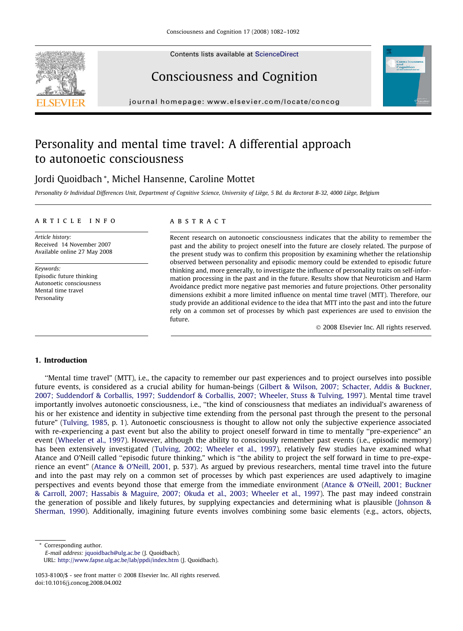Contents lists available at [ScienceDirect](http://www.sciencedirect.com/science/journal/10538100)







journal homepage: www.elsevier.com/locate/concog

# Personality and mental time travel: A differential approach to autonoetic consciousness

## Jordi Quoidbach \*, Michel Hansenne, Caroline Mottet

Personality & Individual Differences Unit, Department of Cognitive Science, University of Liège, 5 Bd. du Rectorat B-32, 4000 Liège, Belgium

## article info

Article history: Received 14 November 2007 Available online 27 May 2008

Keywords: Episodic future thinking Autonoetic consciousness Mental time travel Personality

## **ABSTRACT**

Recent research on autonoetic consciousness indicates that the ability to remember the past and the ability to project oneself into the future are closely related. The purpose of the present study was to confirm this proposition by examining whether the relationship observed between personality and episodic memory could be extended to episodic future thinking and, more generally, to investigate the influence of personality traits on self-information processing in the past and in the future. Results show that Neuroticism and Harm Avoidance predict more negative past memories and future projections. Other personality dimensions exhibit a more limited influence on mental time travel (MTT). Therefore, our study provide an additional evidence to the idea that MTT into the past and into the future rely on a common set of processes by which past experiences are used to envision the future.

- 2008 Elsevier Inc. All rights reserved.

## 1. Introduction

''Mental time travel" (MTT), i.e., the capacity to remember our past experiences and to project ourselves into possible future events, is considered as a crucial ability for human-beings [\(Gilbert & Wilson, 2007; Schacter, Addis & Buckner,](#page-9-0) [2007; Suddendorf & Corballis, 1997; Suddendorf & Corballis, 2007; Wheeler, Stuss & Tulving, 1997\)](#page-9-0). Mental time travel importantly involves autonoetic consciousness, i.e., ''the kind of consciousness that mediates an individual's awareness of his or her existence and identity in subjective time extending from the personal past through the present to the personal future" [\(Tulving, 1985](#page-10-0), p. 1). Autonoetic consciousness is thought to allow not only the subjective experience associated with re-experiencing a past event but also the ability to project oneself forward in time to mentally ''pre-experience" an event [\(Wheeler et al., 1997\)](#page-10-0). However, although the ability to consciously remember past events (i.e., episodic memory) has been extensively investigated [\(Tulving, 2002; Wheeler et al., 1997](#page-10-0)), relatively few studies have examined what Atance and O'Neill called ''episodic future thinking," which is ''the ability to project the self forward in time to pre-experience an event" ([Atance & O'Neill, 2001](#page-9-0), p. 537). As argued by previous researchers, mental time travel into the future and into the past may rely on a common set of processes by which past experiences are used adaptively to imagine perspectives and events beyond those that emerge from the immediate environment [\(Atance & O'Neill, 2001; Buckner](#page-9-0) [& Carroll, 2007; Hassabis & Maguire, 2007; Okuda et al., 2003; Wheeler et al., 1997](#page-9-0)). The past may indeed constrain the generation of possible and likely futures, by supplying expectancies and determining what is plausible ([Johnson &](#page-9-0) [Sherman, 1990\)](#page-9-0). Additionally, imagining future events involves combining some basic elements (e.g., actors, objects,

Corresponding author. E-mail address: [jquoidbach@ulg.ac.be](mailto:jquoidbach@ulg.ac.be) (J. Quoidbach). URL: <http://www.fapse.ulg.ac.be/lab/ppdi/index.htm> (J. Quoidbach).

 $1053-8100$ /\$ - see front matter  $\odot$  2008 Elsevier Inc. All rights reserved. doi:10.1016/j.concog.2008.04.002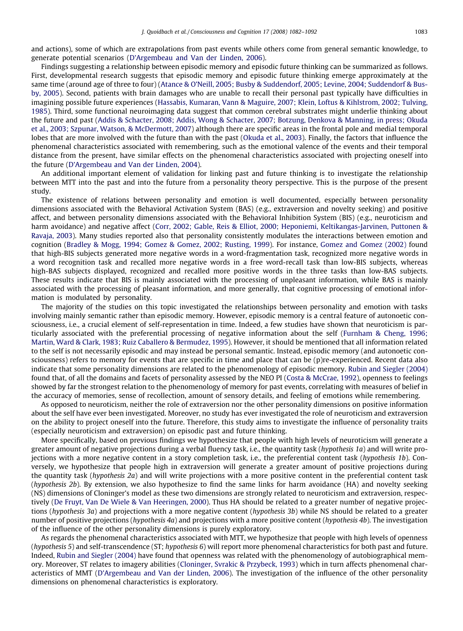and actions), some of which are extrapolations from past events while others come from general semantic knowledge, to generate potential scenarios [\(D'Argembeau and Van der Linden, 2006\)](#page-9-0).

Findings suggesting a relationship between episodic memory and episodic future thinking can be summarized as follows. First, developmental research suggests that episodic memory and episodic future thinking emerge approximately at the same time (around age of three to four) [\(Atance & O'Neill, 2005; Busby & Suddendorf, 2005; Levine, 2004; Suddendorf & Bus](#page-9-0)[by, 2005\)](#page-9-0). Second, patients with brain damages who are unable to recall their personal past typically have difficulties in imagining possible future experiences ([Hassabis, Kumaran, Vann & Maguire, 2007; Klein, Loftus & Kihlstrom, 2002; Tulving,](#page-9-0) [1985\)](#page-9-0). Third, some functional neuroimaging data suggest that common cerebral substrates might underlie thinking about the future and past [\(Addis & Schacter, 2008; Addis, Wong & Schacter, 2007; Botzung, Denkova & Manning, in press; Okuda](#page-9-0) [et al., 2003; Szpunar, Watson, & McDermott, 2007](#page-9-0)) although there are specific areas in the frontal pole and medial temporal lobes that are more involved with the future than with the past [\(Okuda et al., 2003](#page-9-0)). Finally, the factors that influence the phenomenal characteristics associated with remembering, such as the emotional valence of the events and their temporal distance from the present, have similar effects on the phenomenal characteristics associated with projecting oneself into the future ([D'Argembeau and Van der Linden, 2004](#page-9-0)).

An additional important element of validation for linking past and future thinking is to investigate the relationship between MTT into the past and into the future from a personality theory perspective. This is the purpose of the present study.

The existence of relations between personality and emotion is well documented, especially between personality dimensions associated with the Behavioral Activation System (BAS) (e.g., extraversion and novelty seeking) and positive affect, and between personality dimensions associated with the Behavioral Inhibition System (BIS) (e.g., neuroticism and harm avoidance) and negative affect ([Corr, 2002; Gable, Reis & Elliot, 2000; Heponiemi, Keltikangas-Jarvinen, Puttonen &](#page-9-0) [Ravaja, 2003](#page-9-0)). Many studies reported also that personality consistently modulates the interactions between emotion and cognition [\(Bradley & Mogg, 1994; Gomez & Gomez, 2002; Rusting, 1999](#page-9-0)). For instance, [Gomez and Gomez \(2002\)](#page-9-0) found that high-BIS subjects generated more negative words in a word-fragmentation task, recognized more negative words in a word recognition task and recalled more negative words in a free word-recall task than low-BIS subjects, whereas high-BAS subjects displayed, recognized and recalled more positive words in the three tasks than low-BAS subjects. These results indicate that BIS is mainly associated with the processing of unpleasant information, while BAS is mainly associated with the processing of pleasant information, and more generally, that cognitive processing of emotional information is modulated by personality.

The majority of the studies on this topic investigated the relationships between personality and emotion with tasks involving mainly semantic rather than episodic memory. However, episodic memory is a central feature of autonoetic consciousness, i.e., a crucial element of self-representation in time. Indeed, a few studies have shown that neuroticism is particularly associated with the preferential processing of negative information about the self ([Furnham & Cheng, 1996;](#page-9-0) [Martin, Ward & Clark, 1983; Ruiz Caballero & Bermudez, 1995](#page-9-0)). However, it should be mentioned that all information related to the self is not necessarily episodic and may instead be personal semantic. Instead, episodic memory (and autonoetic consciousness) refers to memory for events that are specific in time and place that can be (p)re-experienced. Recent data also indicate that some personality dimensions are related to the phenomenology of episodic memory. [Rubin and Siegler \(2004\)](#page-9-0) found that, of all the domains and facets of personality assessed by the NEO PI [\(Costa & McCrae, 1992](#page-9-0)), openness to feelings showed by far the strongest relation to the phenomenology of memory for past events, correlating with measures of belief in the accuracy of memories, sense of recollection, amount of sensory details, and feeling of emotions while remembering.

As opposed to neuroticism, neither the role of extraversion nor the other personality dimensions on positive information about the self have ever been investigated. Moreover, no study has ever investigated the role of neuroticism and extraversion on the ability to project oneself into the future. Therefore, this study aims to investigate the influence of personality traits (especially neuroticism and extraversion) on episodic past and future thinking.

More specifically, based on previous findings we hypothesize that people with high levels of neuroticism will generate a greater amount of negative projections during a verbal fluency task, i.e., the quantity task (hypothesis 1a) and will write projections with a more negative content in a story completion task, i.e., the preferential content task (hypothesis 1b). Conversely, we hypothesize that people high in extraversion will generate a greater amount of positive projections during the quantity task (hypothesis 2a) and will write projections with a more positive content in the preferential content task (hypothesis 2b). By extension, we also hypothesize to find the same links for harm avoidance (HA) and novelty seeking (NS) dimensions of Cloninger's model as these two dimensions are strongly related to neuroticism and extraversion, respectively ([De Fruyt, Van De Wiele & Van Heeringen, 2000\)](#page-9-0). Thus HA should be related to a greater number of negative projections (hypothesis 3a) and projections with a more negative content (hypothesis 3b) while NS should be related to a greater number of positive projections (hypothesis 4a) and projections with a more positive content (hypothesis 4b). The investigation of the influence of the other personality dimensions is purely exploratory.

As regards the phenomenal characteristics associated with MTT, we hypothesize that people with high levels of openness (hypothesis 5) and self-transcendence (ST; hypothesis 6) will report more phenomenal characteristics for both past and future. Indeed, Rubin and [Siegler \(2004\)](#page-9-0) have found that openness was related with the phenomenology of autobiographical memory. Moreover, ST relates to imagery abilities ([Cloninger, Svrakic & Przybeck, 1993](#page-9-0)) which in turn affects phenomenal characteristics of MMT ([D'Argembeau and Van der Linden, 2006\)](#page-9-0). The investigation of the influence of the other personality dimensions on phenomenal characteristics is exploratory.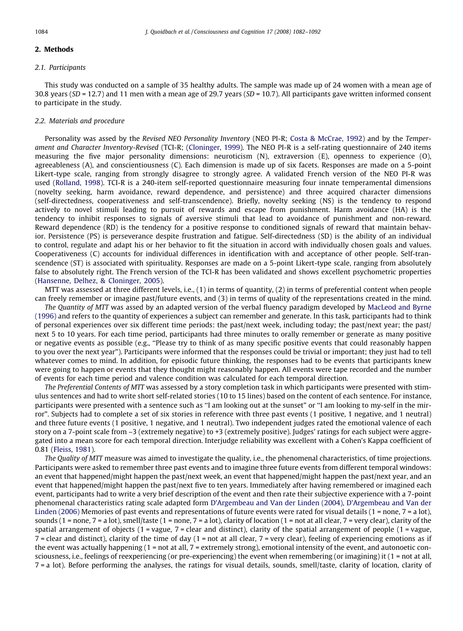## 2. Methods

#### 2.1. Participants

This study was conducted on a sample of 35 healthy adults. The sample was made up of 24 women with a mean age of 30.8 years ( $SD = 12.7$ ) and 11 men with a mean age of 29.7 years ( $SD = 10.7$ ). All participants gave written informed consent to participate in the study.

## 2.2. Materials and procedure

Personality was assed by the Revised NEO Personality Inventory (NEO PI-R; [Costa & McCrae, 1992](#page-9-0)) and by the Temperament and Character Inventory-Revised (TCI-R; [\(Cloninger, 1999](#page-9-0)). The NEO PI-R is a self-rating questionnaire of 240 items measuring the five major personality dimensions: neuroticism (N), extraversion (E), openness to experience (O), agreeableness (A), and conscientiousness (C). Each dimension is made up of six facets. Responses are made on a 5-point Likert-type scale, ranging from strongly disagree to strongly agree. A validated French version of the NEO PI-R was used [\(Rolland, 1998](#page-9-0)). TCI-R is a 240-item self-reported questionnaire measuring four innate temperamental dimensions (novelty seeking, harm avoidance, reward dependence, and persistence) and three acquired character dimensions (self-directedness, cooperativeness and self-transcendence). Briefly, novelty seeking (NS) is the tendency to respond actively to novel stimuli leading to pursuit of rewards and escape from punishment. Harm avoidance (HA) is the tendency to inhibit responses to signals of aversive stimuli that lead to avoidance of punishment and non-reward. Reward dependence (RD) is the tendency for a positive response to conditioned signals of reward that maintain behavior. Persistence (PS) is perseverance despite frustration and fatigue. Self-directedness (SD) is the ability of an individual to control, regulate and adapt his or her behavior to fit the situation in accord with individually chosen goals and values. Cooperativeness (C) accounts for individual differences in identification with and acceptance of other people. Self-transcendence (ST) is associated with spirituality. Responses are made on a 5-point Likert-type scale, ranging from absolutely false to absolutely right. The French version of the TCI-R has been validated and shows excellent psychometric properties [\(Hansenne, Delhez, & Cloninger, 2005](#page-9-0)).

MTT was assessed at three different levels, i.e., (1) in terms of quantity, (2) in terms of preferential content when people can freely remember or imagine past/future events, and (3) in terms of quality of the representations created in the mind.

The Quantity of MTT was assed by an adapted version of the verbal fluency paradigm developed by [MacLeod and Byrne](#page-9-0) [\(1996\)](#page-9-0) and refers to the quantity of experiences a subject can remember and generate. In this task, participants had to think of personal experiences over six different time periods: the past/next week, including today; the past/next year; the past/ next 5 to 10 years. For each time period, participants had three minutes to orally remember or generate as many positive or negative events as possible (e.g., ''Please try to think of as many specific positive events that could reasonably happen to you over the next year"). Participants were informed that the responses could be trivial or important; they just had to tell whatever comes to mind. In addition, for episodic future thinking, the responses had to be events that participants knew were going to happen or events that they thought might reasonably happen. All events were tape recorded and the number of events for each time period and valence condition was calculated for each temporal direction.

The Preferential Contents of MTT was assessed by a story completion task in which participants were presented with stimulus sentences and had to write short self-related stories (10 to 15 lines) based on the content of each sentence. For instance, participants were presented with a sentence such as ''I am looking out at the sunset" or ''I am looking to my-self in the mirror". Subjects had to complete a set of six stories in reference with three past events (1 positive, 1 negative, and 1 neutral) and three future events (1 positive, 1 negative, and 1 neutral). Two independent judges rated the emotional valence of each story on a 7-point scale from –3 (extremely negative) to +3 (extremely positive). Judges' ratings for each subject were aggregated into a mean score for each temporal direction. Interjudge reliability was excellent with a Cohen's Kappa coefficient of 0.81 [\(Fleiss, 1981](#page-9-0)).

The Quality of MTT measure was aimed to investigate the quality, i.e., the phenomenal characteristics, of time projections. Participants were asked to remember three past events and to imagine three future events from different temporal windows: an event that happened/might happen the past/next week, an event that happened/might happen the past/next year, and an event that happened/might happen the past/next five to ten years. Immediately after having remembered or imagined each event, participants had to write a very brief description of the event and then rate their subjective experience with a 7-point phenomenal characteristics rating scale adapted form [D'Argembeau and Van der Linden \(2004\), D'Argembeau and Van der](#page-9-0) [Linden \(2006\)](#page-9-0) Memories of past events and representations of future events were rated for visual details (1 = none, 7 = a lot), sounds (1 = none, 7 = a lot), smell/taste (1 = none, 7 = a lot), clarity of location (1 = not at all clear, 7 = very clear), clarity of the spatial arrangement of objects ( $1 = \text{vague}$ ,  $7 = \text{clear}$  and distinct), clarity of the spatial arrangement of people ( $1 = \text{vague}$ , 7 = clear and distinct), clarity of the time of day (1 = not at all clear, 7 = very clear), feeling of experiencing emotions as if the event was actually happening (1 = not at all, 7 = extremely strong), emotional intensity of the event, and autonoetic consciousness, i.e., feelings of reexperiencing (or pre-experiencing) the event when remembering (or imagining) it (1 = not at all, 7 = a lot). Before performing the analyses, the ratings for visual details, sounds, smell/taste, clarity of location, clarity of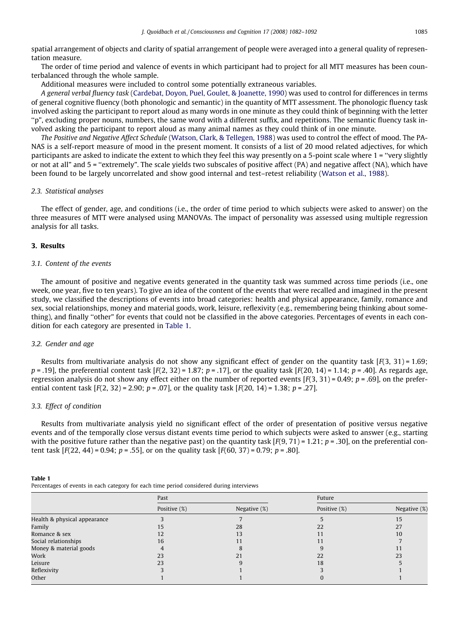spatial arrangement of objects and clarity of spatial arrangement of people were averaged into a general quality of representation measure.

The order of time period and valence of events in which participant had to project for all MTT measures has been counterbalanced through the whole sample.

Additional measures were included to control some potentially extraneous variables.

A general verbal fluency task ([Cardebat, Doyon, Puel, Goulet, & Joanette, 1990](#page-9-0)) was used to control for differences in terms of general cognitive fluency (both phonologic and semantic) in the quantity of MTT assessment. The phonologic fluency task involved asking the participant to report aloud as many words in one minute as they could think of beginning with the letter ''p", excluding proper nouns, numbers, the same word with a different suffix, and repetitions. The semantic fluency task involved asking the participant to report aloud as many animal names as they could think of in one minute.

The Positive and Negative Affect Schedule ([Watson, Clark, & Tellegen, 1988\)](#page-10-0) was used to control the effect of mood. The PA-NAS is a self-report measure of mood in the present moment. It consists of a list of 20 mood related adjectives, for which participants are asked to indicate the extent to which they feel this way presently on a 5-point scale where 1 = ''very slightly or not at all" and 5 = ''extremely". The scale yields two subscales of positive affect (PA) and negative affect (NA), which have been found to be largely uncorrelated and show good internal and test–retest reliability [\(Watson et al., 1988](#page-10-0)).

#### 2.3. Statistical analyses

The effect of gender, age, and conditions (i.e., the order of time period to which subjects were asked to answer) on the three measures of MTT were analysed using MANOVAs. The impact of personality was assessed using multiple regression analysis for all tasks.

## 3. Results

## 3.1. Content of the events

The amount of positive and negative events generated in the quantity task was summed across time periods (i.e., one week, one year, five to ten years). To give an idea of the content of the events that were recalled and imagined in the present study, we classified the descriptions of events into broad categories: health and physical appearance, family, romance and sex, social relationships, money and material goods, work, leisure, reflexivity (e.g., remembering being thinking about something), and finally ''other" for events that could not be classified in the above categories. Percentages of events in each condition for each category are presented in Table 1.

## 3.2. Gender and age

Results from multivariate analysis do not show any significant effect of gender on the quantity task  $[F(3, 31) = 1.69;$  $p = .19$ , the preferential content task  $[F(2, 32) = 1.87; p = .17]$ , or the quality task  $[F(20, 14) = 1.14; p = .40]$ . As regards age, regression analysis do not show any effect either on the number of reported events  $[F(3, 31) = 0.49; p = .69]$ , on the preferential content task  $[F(2, 32) = 2.90; p = .07]$ , or the quality task  $[F(20, 14) = 1.38; p = .27]$ .

## 3.3. Effect of condition

 $T = T$ 

Results from multivariate analysis yield no significant effect of the order of presentation of positive versus negative events and of the temporally close versus distant events time period to which subjects were asked to answer (e.g., starting with the positive future rather than the negative past) on the quantity task  $[F(9, 71) = 1.21$ ; p = .30], on the preferential content task  $[F(22, 44) = 0.94; p = .55]$ , or on the quality task  $[F(60, 37) = 0.79; p = .80]$ .

| - Table T                                                                                |  |  |
|------------------------------------------------------------------------------------------|--|--|
| Percentages of events in each category for each time period considered during interviews |  |  |

|                              | Past         |              | Future       |              |  |
|------------------------------|--------------|--------------|--------------|--------------|--|
|                              | Positive (%) | Negative (%) | Positive (%) | Negative (%) |  |
| Health & physical appearance |              |              |              | 15           |  |
| Family                       | 15           | 28           | 22           | 27           |  |
| Romance & sex                | 12           | 13           | 11           | 10           |  |
| Social relationships         | 16           |              |              |              |  |
| Money & material goods       |              |              |              | . .          |  |
| Work                         | 23           | 21           | 22           | 23           |  |
| Leisure                      | 23           |              | 18           |              |  |
| Reflexivity                  |              |              |              |              |  |
| Other                        |              |              |              |              |  |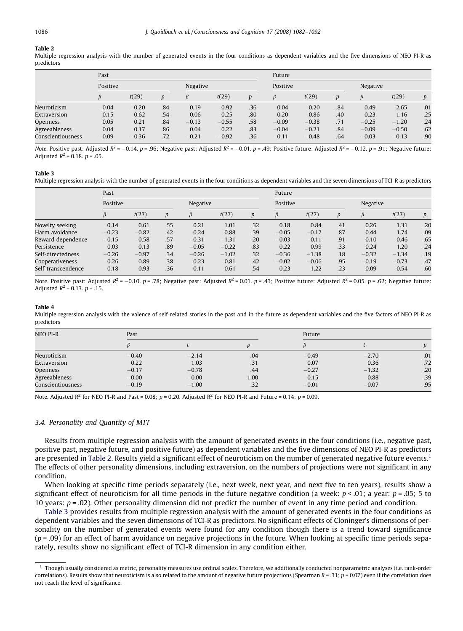<span id="page-4-0"></span>Multiple regression analysis with the number of generated events in the four conditions as dependent variables and the five dimensions of NEO PI-R as predictors

|                   | Past     |         |                  |          |         | Future           |         |         |                  |         |         |                  |
|-------------------|----------|---------|------------------|----------|---------|------------------|---------|---------|------------------|---------|---------|------------------|
|                   | Positive |         |                  | Negative |         | Positive         |         |         | Negative         |         |         |                  |
|                   | ß        | t(29)   | $\boldsymbol{D}$ |          | t(29)   | $\boldsymbol{D}$ | ß       | t(29)   | $\boldsymbol{D}$ | B       | t(29)   | $\boldsymbol{p}$ |
| Neuroticism       | $-0.04$  | $-0.20$ | .84              | 0.19     | 0.92    | .36              | 0.04    | 0.20    | .84              | 0.49    | 2.65    | .01              |
| Extraversion      | 0.15     | 0.62    | .54              | 0.06     | 0.25    | .80              | 0.20    | 0.86    | .40              | 0.23    | 1.16    | .25              |
| Openness          | 0.05     | 0.21    | .84              | $-0.13$  | $-0.55$ | .58              | $-0.09$ | $-0.38$ | .71              | $-0.25$ | $-1.20$ | .24              |
| Agreeableness     | 0.04     | 0.17    | .86              | 0.04     | 0.22    | .83              | $-0.04$ | $-0.21$ | .84              | $-0.09$ | $-0.50$ | .62              |
| Conscientiousness | $-0.09$  | $-0.36$ | .72              | $-0.21$  | $-0.92$ | .36              | $-0.11$ | $-0.48$ | .64              | $-0.03$ | $-0.13$ | .90              |

Note. Positive past: Adjusted  $R^2 = -0.14$ . p = .96; Negative past: Adjusted  $R^2 = -0.01$ . p = .49; Positive future: Adjusted  $R^2 = -0.12$ . p = .91; Negative future: Adjusted  $R^2 = 0.18$ .  $p = .05$ .

#### Table 3

Multiple regression analysis with the number of generated events in the four conditions as dependent variables and the seven dimensions of TCI-R as predictors

|                    | Past     |         |     |          |         |                  | Future   |         |     |          |         |                  |
|--------------------|----------|---------|-----|----------|---------|------------------|----------|---------|-----|----------|---------|------------------|
|                    | Positive |         |     | Negative |         |                  | Positive |         |     | Negative |         |                  |
|                    |          | t(27)   | D   |          | t(27)   | $\boldsymbol{D}$ |          | t(27)   | n   |          | t(27)   | $\boldsymbol{p}$ |
| Novelty seeking    | 0.14     | 0.61    | .55 | 0.21     | 1.01    | .32              | 0.18     | 0.84    | .41 | 0.26     | 1.31    | .20              |
| Harm avoidance     | $-0.23$  | $-0.82$ | .42 | 0.24     | 0.88    | .39              | $-0.05$  | $-0.17$ | .87 | 0.44     | 1.74    | .09              |
| Reward dependence  | $-0.15$  | $-0.58$ | .57 | $-0.31$  | $-1.31$ | .20              | $-0.03$  | $-0.11$ | .91 | 0.10     | 0.46    | .65              |
| Persistence        | 0.03     | 0.13    | .89 | $-0.05$  | $-0.22$ | .83              | 0.22     | 0.99    | .33 | 0.24     | 1.20    | .24              |
| Self-directedness  | $-0.26$  | $-0.97$ | .34 | $-0.26$  | $-1.02$ | .32              | $-0.36$  | $-1.38$ | .18 | $-0.32$  | $-1.34$ | .19              |
| Cooperativeness    | 0.26     | 0.89    | .38 | 0.23     | 0.81    | .42              | $-0.02$  | $-0.06$ | .95 | $-0.19$  | $-0.73$ | .47              |
| Self-transcendence | 0.18     | 0.93    | .36 | 0.11     | 0.61    | .54              | 0.23     | 1.22    | .23 | 0.09     | 0.54    | .60              |

Note. Positive past: Adjusted  $R^2 = -0.10$ . p = .78; Negative past: Adjusted  $R^2 = 0.01$ . p = .43; Positive future: Adjusted  $R^2 = 0.05$ . p = .62; Negative future: Adjusted  $R^2 = 0.13$ .  $p = 0.15$ .

#### Table 4

Multiple regression analysis with the valence of self-related stories in the past and in the future as dependent variables and the five factors of NEO PI-R as predictors

| NEO PI-R          | Past    |         |      | Future  |         |     |  |
|-------------------|---------|---------|------|---------|---------|-----|--|
|                   |         |         |      |         |         |     |  |
| Neuroticism       | $-0.40$ | $-2.14$ | .04  | $-0.49$ | $-2.70$ | .01 |  |
| Extraversion      | 0.22    | 1.03    | .31  | 0.07    | 0.36    | .72 |  |
| Openness          | $-0.17$ | $-0.78$ | .44  | $-0.27$ | $-1.32$ | .20 |  |
| Agreeableness     | $-0.00$ | $-0.00$ | 1.00 | 0.15    | 0.88    | .39 |  |
| Conscientiousness | $-0.19$ | $-1.00$ | .32  | $-0.01$ | $-0.07$ | .95 |  |

Note. Adjusted R<sup>2</sup> for NEO PI-R and Past = 0.08;  $p = 0.20$ . Adjusted R<sup>2</sup> for NEO PI-R and Future = 0.14;  $p = 0.09$ .

#### 3.4. Personality and Quantity of MTT

Results from multiple regression analysis with the amount of generated events in the four conditions (i.e., negative past, positive past, negative future, and positive future) as dependent variables and the five dimensions of NEO PI-R as predictors are presented in Table 2. Results yield a significant effect of neuroticism on the number of generated negative future events.<sup>1</sup> The effects of other personality dimensions, including extraversion, on the numbers of projections were not significant in any condition.

When looking at specific time periods separately (i.e., next week, next year, and next five to ten years), results show a significant effect of neuroticism for all time periods in the future negative condition (a week:  $p < 0.01$ ; a year:  $p = 0.05$ ; 5 to 10 years:  $p = .02$ ). Other personality dimension did not predict the number of event in any time period and condition.

Table 3 provides results from multiple regression analysis with the amount of generated events in the four conditions as dependent variables and the seven dimensions of TCI-R as predictors. No significant effects of Cloninger's dimensions of personality on the number of generated events were found for any condition though there is a trend toward significance  $(p = .09)$  for an effect of harm avoidance on negative projections in the future. When looking at specific time periods separately, results show no significant effect of TCI-R dimension in any condition either.

 $<sup>1</sup>$  Though usually considered as metric, personality measures use ordinal scales. Therefore, we additionally conducted nonparametric analyses (i.e. rank-order</sup> correlations). Results show that neuroticism is also related to the amount of negative future projections (Spearman  $R = .31$ ;  $p = 0.07$ ) even if the correlation does not reach the level of significance.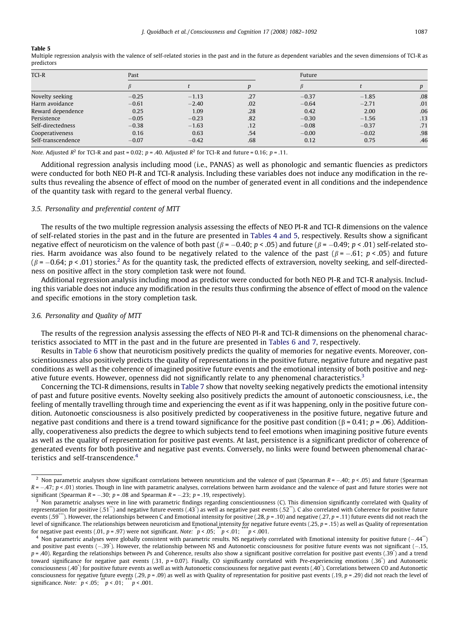Multiple regression analysis with the valence of self-related stories in the past and in the future as dependent variables and the seven dimensions of TCI-R as predictors

| TCI-R              | Past    |         |     | Future  |         |     |  |
|--------------------|---------|---------|-----|---------|---------|-----|--|
|                    |         |         |     |         |         |     |  |
| Novelty seeking    | $-0.25$ | $-1.13$ | .27 | $-0.37$ | $-1.85$ | .08 |  |
| Harm avoidance     | $-0.61$ | $-2.40$ | .02 | $-0.64$ | $-2.71$ | .01 |  |
| Reward dependence  | 0.25    | 1.09    | .28 | 0.42    | 2.00    | .06 |  |
| Persistence        | $-0.05$ | $-0.23$ | .82 | $-0.30$ | $-1.56$ | .13 |  |
| Self-directedness  | $-0.38$ | $-1.63$ | .12 | $-0.08$ | $-0.37$ | .71 |  |
| Cooperativeness    | 0.16    | 0.63    | .54 | $-0.00$ | $-0.02$ | .98 |  |
| Self-transcendence | $-0.07$ | $-0.42$ | .68 | 0.12    | 0.75    | .46 |  |

Note. Adjusted  $R^2$  for TCI-R and past = 0.02; p = .40. Adjusted  $R^2$  for TCI-R and future = 0.16; p = .11.

Additional regression analysis including mood (i.e., PANAS) as well as phonologic and semantic fluencies as predictors were conducted for both NEO PI-R and TCI-R analysis. Including these variables does not induce any modification in the results thus revealing the absence of effect of mood on the number of generated event in all conditions and the independence of the quantity task with regard to the general verbal fluency.

## 3.5. Personality and preferential content of MTT

The results of the two multiple regression analysis assessing the effects of NEO PI-R and TCI-R dimensions on the valence of self-related stories in the past and in the future are presented in [Tables 4 and 5](#page-4-0), respectively. Results show a significant negative effect of neuroticism on the valence of both past ( $\beta$  =  $-0.40$ ;  $p < .05$ ) and future ( $\beta$  =  $-0.49$ ;  $p < .01$ ) self-related stories. Harm avoidance was also found to be negatively related to the valence of the past ( $\beta$ = $-$ .61;  $p$ <.05) and future  $(\beta = -0.64; p < .01)$  stories.<sup>2</sup> As for the quantity task, the predicted effects of extraversion, novelty seeking, and self-directedness on positive affect in the story completion task were not found.

Additional regression analysis including mood as predictor were conducted for both NEO PI-R and TCI-R analysis. Including this variable does not induce any modification in the results thus confirming the absence of effect of mood on the valence and specific emotions in the story completion task.

#### 3.6. Personality and Quality of MTT

The results of the regression analysis assessing the effects of NEO PI-R and TCI-R dimensions on the phenomenal characteristics associated to MTT in the past and in the future are presented in [Tables 6 and 7,](#page-6-0) respectively.

Results in [Table 6](#page-6-0) show that neuroticism positively predicts the quality of memories for negative events. Moreover, conscientiousness also positively predicts the quality of representations in the positive future, negative future and negative past conditions as well as the coherence of imagined positive future events and the emotional intensity of both positive and negative future events. However, openness did not significantly relate to any phenomenal characteristics.<sup>3</sup>

Concerning the TCI-R dimensions, results in [Table 7](#page-7-0) show that novelty seeking negatively predicts the emotional intensity of past and future positive events. Novelty seeking also positively predicts the amount of autonoetic consciousness, i.e., the feeling of mentally travelling through time and experiencing the event as if it was happening, only in the positive future condition. Autonoetic consciousness is also positively predicted by cooperativeness in the positive future, negative future and negative past conditions and there is a trend toward significance for the positive past condition  $(\beta = 0.41; p = .06)$ . Additionally, cooperativeness also predicts the degree to which subjects tend to feel emotions when imagining positive future events as well as the quality of representation for positive past events. At last, persistence is a significant predictor of coherence of generated events for both positive and negative past events. Conversely, no links were found between phenomenal characteristics and self-transcendence.<sup>4</sup>

<sup>&</sup>lt;sup>2</sup> Non parametric analyses show significant correlations between neuroticism and the valence of past (Spearman R =  $-$ .40; p < .05) and future (Spearman R =  $-.47;$   $p < .01$ ) stories. Though in line with parametric analyses, correlations between harm avoidance and the valence of past and future stories were not significant (Spearman R =  $-.30;$   $p$  = .08 and Spearman R =  $-.23;$   $p$  = .19, respectively).

 $3$  Non parametric analyses were in line with parametric findings regarding conscientiousness (C). This dimension significantly correlated with Quality of representation for positive (.51\*\*) and negative future events (.43\*) as well as negative past events (.52\*\*). C also correlated with Coherence for positive future events (.59\*\*\*). However, the relationships between C and Emotional intensity for positive (.28, p = .10) and negative (.27, p = .11) future events did not reach the level of significance. The relationships between neuroticism and Emotional intensity for negative future events (.25,  $p = .15$ ) as well as Quality of representation for negative past events (.01,  $p = .97$ ) were not significant. Note:  $\bar{p}$  < .05;  $\bar{p}$  < .01;  $\bar{p}$  < .001.

 $^4$  Non parametric analyses were globally consistent with parametric results. NS negatively correlated with Emotional intensity for positive future ( $-.44^{\circ\circ}$ ) and positive past events (-.39<sup>\*</sup>). However, the relationship between NS and Autonoetic consciousness for positive future events was not significant (-.15, p = .40). Regarding the relationships between Ps and Coherence, results also show a significant positive correlation for positive past events (.39<sup>\*</sup>) and a trend toward significance for negative past events (.31,  $p = 0.07$ ). Finally, CO significantly correlated with Pre-experiencing emotions (.36<sup>\*</sup>) and Autonoetic consciousness (.40\* ) for positive future events as well as with Autonoetic consciousness for negative past events (.40\* ). Correlations between CO and Autonoetic consciousness for negative future events (.29, p = .09) as well as with Quality of representation for positive past events (.19, p = .29) did not reach the level of significance. Note:  $p < .05$ ;  $\binom{m}{p} < .01$ ;  $\binom{m}{p} < .001$ .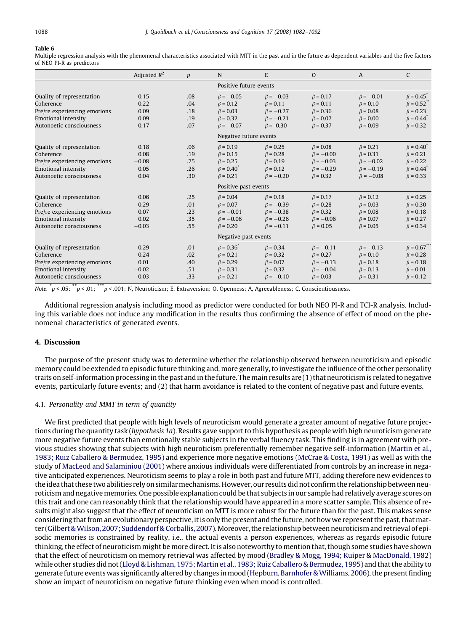<span id="page-6-0"></span>Multiple regression analysis with the phenomenal characteristics associated with MTT in the past and in the future as dependent variables and the five factors of NEO PI-R as predictors

|                              | Adjusted $R^2$ | $\boldsymbol{p}$ | N                      | E               | $\Omega$        | A               | C                            |
|------------------------------|----------------|------------------|------------------------|-----------------|-----------------|-----------------|------------------------------|
|                              |                |                  | Positive future events |                 |                 |                 |                              |
| Quality of representation    | 0.15           | .08              | $\beta = -0.05$        | $\beta = -0.03$ | $\beta = 0.17$  | $\beta = -0.01$ | $\beta = 0.45$               |
| Coherence                    | 0.22           | .04              | $\beta = 0.12$         | $\beta = 0.11$  | $\beta = 0.11$  | $\beta = 0.10$  | $\beta = 0.52$               |
| Pre/re experiencing emotions | 0.09           | .18              | $\beta = 0.03$         | $\beta = -0.27$ | $\beta = 0.36$  | $\beta = 0.08$  | $\beta = 0.23$               |
| <b>Emotional intensity</b>   | 0.09           | .19              | $\beta = 0.32$         | $\beta = -0.21$ | $\beta = 0.07$  | $\beta = 0.00$  | $\beta = 0.44$ <sup>*</sup>  |
| Autonoetic consciousness     | 0.17           | .07              | $\beta = -0.07$        | $\beta = -0.30$ | $\beta = 0.37$  | $\beta = 0.09$  | $\beta = 0.32$               |
|                              |                |                  | Negative future events |                 |                 |                 |                              |
| Quality of representation    | 0.18           | .06              | $\beta = 0.19$         | $\beta = 0.25$  | $\beta = 0.08$  | $\beta = 0.21$  | $\beta = 0.40^{^{\circ}}$    |
| Coherence                    | 0.08           | .19              | $\beta = 0.15$         | $\beta = 0.28$  | $\beta = -0.00$ | $\beta = 0.31$  | $\beta = 0.21$               |
| Pre/re experiencing emotions | $-0.08$        | .75              | $\beta = 0.25$         | $\beta = 0.19$  | $\beta = -0.03$ | $\beta = -0.02$ | $\beta = 0.22$               |
| <b>Emotional intensity</b>   | 0.05           | .26              | $\beta = 0.40$         | $\beta = 0.12$  | $\beta = -0.29$ | $\beta = -0.19$ | $\beta = 0.44$ <sup>*</sup>  |
| Autonoetic consciousness     | 0.04           | .30              | $\beta = 0.21$         | $\beta = -0.20$ | $\beta = 0.32$  | $\beta = -0.08$ | $\beta = 0.33$               |
|                              |                |                  | Positive past events   |                 |                 |                 |                              |
| Quality of representation    | 0.06           | .25              | $\beta = 0.04$         | $\beta = 0.18$  | $\beta = 0.17$  | $\beta = 0.12$  | $\beta = 0.25$               |
| Coherence                    | 0.29           | .01              | $\beta = 0.07$         | $\beta = -0.39$ | $\beta = 0.28$  | $\beta = 0.03$  | $\beta = 0.30$               |
| Pre/re experiencing emotions | 0.07           | .23              | $\beta = -0.01$        | $\beta = -0.38$ | $\beta = 0.32$  | $\beta = 0.08$  | $\beta = 0.18$               |
| Emotional intensity          | 0.02           | .35              | $\beta = -0.06$        | $\beta = -0.26$ | $\beta = -0.06$ | $\beta = 0.07$  | $\beta = 0.27$               |
| Autonoetic consciousness     | $-0.03$        | .55              | $\beta = 0.20$         | $\beta = -0.11$ | $\beta = 0.05$  | $\beta = 0.05$  | $\beta = 0.34$               |
|                              |                |                  | Negative past events   |                 |                 |                 |                              |
| Quality of representation    | 0.29           | .01              | $\beta = 0.36^{*}$     | $\beta = 0.34$  | $\beta = -0.11$ | $\beta = -0.13$ | $\beta = 0.67$ <sup>**</sup> |
| Coherence                    | 0.24           | .02              | $\beta = 0.21$         | $\beta = 0.32$  | $\beta = 0.27$  | $\beta = 0.10$  | $\beta = 0.28$               |
| Pre/re experiencing emotions | 0.01           | .40              | $\beta = 0.29$         | $\beta = 0.07$  | $\beta = -0.13$ | $\beta = 0.18$  | $\beta = 0.18$               |
| <b>Emotional intensity</b>   | $-0.02$        | .51              | $\beta = 0.31$         | $\beta = 0.32$  | $\beta = -0.04$ | $\beta = 0.13$  | $\beta = 0.01$               |
| Autonoetic consciousness     | 0.03           | .33              | $\beta = 0.21$         | $\beta = -0.10$ | $\beta = 0.03$  | $\beta = 0.31$  | $\beta = 0.12$               |

Note.  $\phi$  = .05;  $\phi$  = .01;  $\phi$  = .001; N, Neuroticism; E, Extraversion; O, Openness; A, Agreeableness; C, Conscientiousness.

Additional regression analysis including mood as predictor were conducted for both NEO PI-R and TCI-R analysis. Including this variable does not induce any modification in the results thus confirming the absence of effect of mood on the phenomenal characteristics of generated events.

## 4. Discussion

The purpose of the present study was to determine whether the relationship observed between neuroticism and episodic memory could be extended to episodic future thinking and, more generally, to investigate the influence of the other personality traits on self-information processing in the past and in the future. The main results are (1) that neuroticism is related to negative events, particularly future events; and (2) that harm avoidance is related to the content of negative past and future events.

#### 4.1. Personality and MMT in term of quantity

We first predicted that people with high levels of neuroticism would generate a greater amount of negative future projections during the quantity task (hypothesis 1a). Results gave support to this hypothesis as people with high neuroticism generate more negative future events than emotionally stable subjects in the verbal fluency task. This finding is in agreement with previous studies showing that subjects with high neuroticism preferentially remember negative self-information [\(Martin et al.,](#page-9-0) [1983; Ruiz Caballero & Bermudez, 1995](#page-9-0)) and experience more negative emotions ([McCrae & Costa, 1991](#page-9-0)) as well as with the study of [MacLeod and Salaminiou \(2001\)](#page-9-0) where anxious individuals were differentiated from controls by an increase in negative anticipated experiences. Neuroticism seems to play a role in both past and future MTT, adding therefore new evidences to the idea that these two abilities rely on similar mechanisms. However, our results did not confirm the relationship between neuroticism and negative memories. One possible explanation could be that subjects in our sample had relatively average scores on this trait and one can reasonably think that the relationship would have appeared in a more scatter sample. This absence of results might also suggest that the effect of neuroticism on MTT is more robust for the future than for the past. This makes sense considering that from an evolutionary perspective, it is only the present and the future, not how we represent the past, that matter (Gilbert & Wilson, 2007; Suddendorf & Corballis, 2007). Moreover, the relationship between neuroticism and retrieval of episodic memories is constrained by reality, i.e., the actual events a person experiences, whereas as regards episodic future thinking, the effect of neuroticism might be more direct. It is also noteworthy to mention that, though some studies have shown that the effect of neuroticism on memory retrieval was affected by mood [\(Bradley & Mogg, 1994; Kuiper & MacDonald, 1982](#page-9-0)) while other studies did not ([Lloyd & Lishman, 1975; Martin et al., 1983; Ruiz Caballero & Bermudez, 1995](#page-9-0)) and that the ability to generate future events was significantly altered by changes inmood ([Hepburn, Barnhofer &Williams, 2006](#page-9-0)), the present finding show an impact of neuroticism on negative future thinking even when mood is controlled.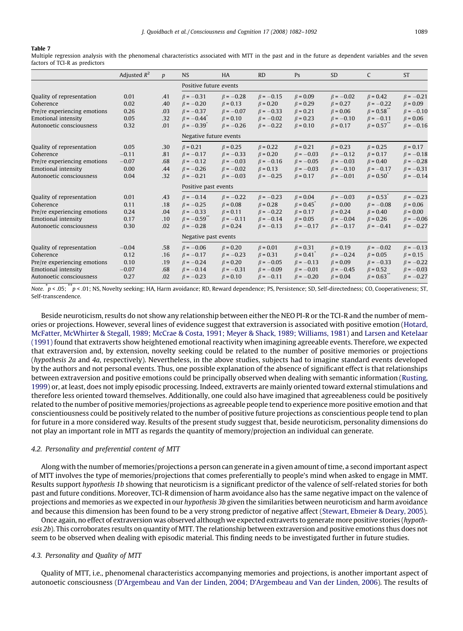<span id="page-7-0"></span>Multiple regression analysis with the phenomenal characteristics associated with MTT in the past and in the future as dependent variables and the seven factors of TCI-R as predictors

|                              | Adjusted $R^2$ | $\boldsymbol{p}$ | <b>NS</b>                    | <b>HA</b>              | <b>RD</b>       | Ps              | <b>SD</b>       | C                            | <b>ST</b>       |
|------------------------------|----------------|------------------|------------------------------|------------------------|-----------------|-----------------|-----------------|------------------------------|-----------------|
|                              |                |                  |                              | Positive future events |                 |                 |                 |                              |                 |
| Quality of representation    | 0.01           | .41              | $\beta = -0.31$              | $\beta = -0.28$        | $\beta = -0.15$ | $\beta = 0.09$  | $\beta = -0.02$ | $\beta = 0.42$               | $\beta = -0.21$ |
| Coherence                    | 0.02           | .40              | $\beta = -0.20$              | $\beta = 0.13$         | $\beta = 0.20$  | $\beta = 0.29$  | $\beta = 0.27$  | $\beta = -0.22$              | $\beta = 0.09$  |
| Pre/re experiencing emotions | 0.26           | .03              | $\beta = -0.37$              | $\beta = -0.07$        | $\beta = -0.33$ | $\beta = 0.21$  | $\beta = 0.06$  | $\beta = 0.58$ <sup>**</sup> | $\beta = -0.10$ |
| <b>Emotional intensity</b>   | 0.05           | .32              | $\beta = -0.44$ <sup>*</sup> | $\beta = 0.10$         | $\beta = -0.02$ | $\beta = 0.23$  | $\beta = -0.10$ | $\beta = -0.11$              | $\beta = 0.06$  |
| Autonoetic consciousness     | 0.32           | .01              | $\beta = -0.39$ <sup>*</sup> | $\beta = -0.26$        | $\beta = -0.22$ | $\beta = 0.10$  | $\beta = 0.17$  | $\beta = 0.57$ <sup>**</sup> | $\beta = -0.16$ |
|                              |                |                  | Negative future events       |                        |                 |                 |                 |                              |                 |
| Quality of representation    | 0.05           | .30              | $\beta = 0.21$               | $\beta = 0.25$         | $\beta = 0.22$  | $\beta = 0.21$  | $\beta = 0.23$  | $\beta = 0.25$               | $\beta = 0.17$  |
| Coherence                    | $-0.11$        | .81              | $\beta = -0.17$              | $\beta = -0.33$        | $\beta = 0.20$  | $\beta = -0.03$ | $\beta = -0.12$ | $\beta = 0.17$               | $\beta = -0.18$ |
| Pre/re experiencing emotions | $-0.07$        | .68              | $\beta = -0.12$              | $\beta = -0.03$        | $\beta = -0.16$ | $\beta = -0.05$ | $\beta = -0.03$ | $\beta = 0.40$               | $\beta = -0.28$ |
| <b>Emotional intensity</b>   | 0.00           | .44              | $\beta = -0.26$              | $\beta = -0.02$        | $\beta = 0.13$  | $\beta = -0.03$ | $\beta = -0.10$ | $\beta = -0.17$              | $\beta = -0.31$ |
| Autonoetic consciousness     | 0.04           | .32              | $\beta = -0.21$              | $\beta = -0.03$        | $\beta = -0.25$ | $\beta = 0.17$  | $\beta = -0.01$ | $\beta = 0.50$               | $\beta = -0.14$ |
|                              |                |                  | Positive past events         |                        |                 |                 |                 |                              |                 |
| Quality of representation    | 0.01           | .43              | $\beta = -0.14$              | $\beta = -0.22$        | $\beta = -0.23$ | $\beta = 0.04$  | $\beta = -0.03$ | $\beta = 0.53$               | $\beta = -0.23$ |
| Coherence                    | 0.11           | .18              | $\beta = -0.25$              | $\beta = 0.08$         | $\beta = 0.28$  | $\beta = 0.45$  | $\beta = 0.00$  | $\beta = -0.08$              | $\beta = 0.06$  |
| Pre/re experiencing emotions | 0.24           | .04              | $\beta = -0.33$              | $\beta = 0.11$         | $\beta = -0.22$ | $\beta = 0.17$  | $\beta = 0.24$  | $\beta = 0.40$               | $\beta = 0.00$  |
| <b>Emotional intensity</b>   | 0.17           | .10              | $\beta = -0.59$              | $\beta = -0.11$        | $\beta = -0.14$ | $\beta = 0.05$  | $\beta = -0.04$ | $\beta = 0.26$               | $\beta = -0.06$ |
| Autonoetic consciousness     | 0.30           | .02              | $\beta = -0.28$              | $\beta = 0.24$         | $\beta = -0.13$ | $\beta = -0.17$ | $\beta = -0.17$ | $\beta = -0.41$              | $\beta = -0.27$ |
|                              |                |                  | Negative past events         |                        |                 |                 |                 |                              |                 |
| Quality of representation    | $-0.04$        | .58              | $\beta = -0.06$              | $\beta = 0.20$         | $\beta = 0.01$  | $\beta = 0.31$  | $\beta = 0.19$  | $\beta = -0.02$              | $\beta = -0.13$ |
| Coherence                    | 0.12           | .16              | $\beta = -0.17$              | $\beta = -0.23$        | $\beta = 0.31$  | $\beta = 0.41$  | $\beta = -0.24$ | $\beta = 0.05$               | $\beta = 0.15$  |
| Pre/re experiencing emotions | 0.10           | .19              | $\beta = -0.24$              | $\beta = 0.20$         | $\beta = -0.05$ | $\beta = -0.13$ | $\beta = 0.09$  | $\beta = -0.33$              | $\beta = -0.22$ |
| <b>Emotional intensity</b>   | $-0.07$        | .68              | $\beta = -0.14$              | $\beta = -0.31$        | $\beta = -0.09$ | $\beta = -0.01$ | $\beta = -0.45$ | $\beta = 0.52$               | $\beta = -0.03$ |
| Autonoetic consciousness     | 0.27           | .02              | $\beta = -0.23$              | $\beta = 0.10$         | $\beta = -0.11$ | $\beta = -0.20$ | $\beta = 0.04$  | $\beta = 0.63$               | $\beta = -0.27$ |

Note. \* <sup>p</sup> < .05; \*\*<sup>p</sup> < .01; NS, Novelty seeking; HA, Harm avoidance; RD, Reward dependence; PS, Persistence; SD, Self-directedness; CO, Cooperativeness; ST, Self-transcendence.

Beside neuroticism, results do not show any relationship between either the NEO PI-R or the TCI-R and the number of memories or projections. However, several lines of evidence suggest that extraversion is associated with positive emotion [\(Hotard,](#page-9-0) [McFatter, McWhirter & Stegall, 1989; McCrae & Costa, 1991; Meyer & Shack, 1989; Williams, 1981\)](#page-9-0) and [Larsen and Ketelaar](#page-9-0) [\(1991\)](#page-9-0) found that extraverts show heightened emotional reactivity when imagining agreeable events. Therefore, we expected that extraversion and, by extension, novelty seeking could be related to the number of positive memories or projections (hypothesis 2a and 4a, respectively). Nevertheless, in the above studies, subjects had to imagine standard events developed by the authors and not personal events. Thus, one possible explanation of the absence of significant effect is that relationships between extraversion and positive emotions could be principally observed when dealing with semantic information ([Rusting,](#page-9-0) [1999\)](#page-9-0) or, at least, does not imply episodic processing. Indeed, extraverts are mainly oriented toward external stimulations and therefore less oriented toward themselves. Additionally, one could also have imagined that agreeableness could be positively related to the number of positive memories/projections as agreeable people tend to experience more positive emotion and that conscientiousness could be positively related to the number of positive future projections as conscientious people tend to plan for future in a more considered way. Results of the present study suggest that, beside neuroticism, personality dimensions do not play an important role in MTT as regards the quantity of memory/projection an individual can generate.

#### 4.2. Personality and preferential content of MTT

Along with the number of memories/projections a person can generate in a given amount of time, a second important aspect of MTT involves the type of memories/projections that comes preferentially to people's mind when asked to engage in MMT. Results support hypothesis 1b showing that neuroticism is a significant predictor of the valence of self-related stories for both past and future conditions. Moreover, TCI-R dimension of harm avoidance also has the same negative impact on the valence of projections and memories as we expected in our hypothesis 3b given the similarities between neuroticism and harm avoidance and because this dimension has been found to be a very strong predictor of negative affect [\(Stewart, Ebmeier & Deary, 2005](#page-10-0)).

Once again, no effect of extraversion was observed although we expected extraverts to generate more positive stories (hypothesis 2b). This corroborates results on quantity of MTT. The relationship between extraversion and positive emotions thus does not seem to be observed when dealing with episodic material. This finding needs to be investigated further in future studies.

## 4.3. Personality and Quality of MTT

Quality of MTT, i.e., phenomenal characteristics accompanying memories and projections, is another important aspect of autonoetic consciousness [\(D'Argembeau and Van der Linden, 2004; D'Argembeau and Van der Linden, 2006](#page-9-0)). The results of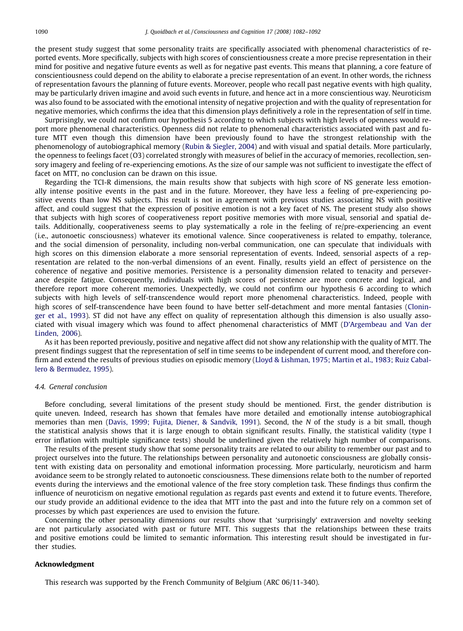the present study suggest that some personality traits are specifically associated with phenomenal characteristics of reported events. More specifically, subjects with high scores of conscientiousness create a more precise representation in their mind for positive and negative future events as well as for negative past events. This means that planning, a core feature of conscientiousness could depend on the ability to elaborate a precise representation of an event. In other words, the richness of representation favours the planning of future events. Moreover, people who recall past negative events with high quality, may be particularly driven imagine and avoid such events in future, and hence act in a more conscientious way. Neuroticism was also found to be associated with the emotional intensity of negative projection and with the quality of representation for negative memories, which confirms the idea that this dimension plays definitively a role in the representation of self in time.

Surprisingly, we could not confirm our hypothesis 5 according to which subjects with high levels of openness would report more phenomenal characteristics. Openness did not relate to phenomenal characteristics associated with past and future MTT even though this dimension have been previously found to have the strongest relationship with the phenomenology of autobiographical memory ([Rubin & Siegler, 2004](#page-9-0)) and with visual and spatial details. More particularly, the openness to feelings facet (O3) correlated strongly with measures of belief in the accuracy of memories, recollection, sensory imagery and feeling of re-experiencing emotions. As the size of our sample was not sufficient to investigate the effect of facet on MTT, no conclusion can be drawn on this issue.

Regarding the TCI-R dimensions, the main results show that subjects with high score of NS generate less emotionally intense positive events in the past and in the future. Moreover, they have less a feeling of pre-experiencing positive events than low NS subjects. This result is not in agreement with previous studies associating NS with positive affect, and could suggest that the expression of positive emotion is not a key facet of NS. The present study also shows that subjects with high scores of cooperativeness report positive memories with more visual, sensorial and spatial details. Additionally, cooperativeness seems to play systematically a role in the feeling of re/pre-experiencing an event (i.e., autonoetic consciousness) whatever its emotional valence. Since cooperativeness is related to empathy, tolerance, and the social dimension of personality, including non-verbal communication, one can speculate that individuals with high scores on this dimension elaborate a more sensorial representation of events. Indeed, sensorial aspects of a representation are related to the non-verbal dimensions of an event. Finally, results yield an effect of persistence on the coherence of negative and positive memories. Persistence is a personality dimension related to tenacity and perseverance despite fatigue. Consequently, individuals with high scores of persistence are more concrete and logical, and therefore report more coherent memories. Unexpectedly, we could not confirm our hypothesis 6 according to which subjects with high levels of self-transcendence would report more phenomenal characteristics. Indeed, people with high scores of self-transcendence have been found to have better self-detachment and more mental fantasies ([Clonin](#page-9-0)[ger et al., 1993\)](#page-9-0). ST did not have any effect on quality of representation although this dimension is also usually associated with visual imagery which was found to affect phenomenal characteristics of MMT [\(D'Argembeau and Van der](#page-9-0) [Linden, 2006](#page-9-0)).

As it has been reported previously, positive and negative affect did not show any relationship with the quality of MTT. The present findings suggest that the representation of self in time seems to be independent of current mood, and therefore confirm and extend the results of previous studies on episodic memory [\(Lloyd & Lishman, 1975; Martin et al., 1983; Ruiz Cabal](#page-9-0)[lero & Bermudez, 1995\)](#page-9-0).

## 4.4. General conclusion

Before concluding, several limitations of the present study should be mentioned. First, the gender distribution is quite uneven. Indeed, research has shown that females have more detailed and emotionally intense autobiographical memories than men ([Davis, 1999; Fujita, Diener, & Sandvik, 1991](#page-9-0)). Second, the N of the study is a bit small, though the statistical analysis shows that it is large enough to obtain significant results. Finally, the statistical validity (type I error inflation with multiple significance tests) should be underlined given the relatively high number of comparisons.

The results of the present study show that some personality traits are related to our ability to remember our past and to project ourselves into the future. The relationships between personality and autonoetic consciousness are globally consistent with existing data on personality and emotional information processing. More particularly, neuroticism and harm avoidance seem to be strongly related to autonoetic consciousness. These dimensions relate both to the number of reported events during the interviews and the emotional valence of the free story completion task. These findings thus confirm the influence of neuroticism on negative emotional regulation as regards past events and extend it to future events. Therefore, our study provide an additional evidence to the idea that MTT into the past and into the future rely on a common set of processes by which past experiences are used to envision the future.

Concerning the other personality dimensions our results show that 'surprisingly' extraversion and novelty seeking are not particularly associated with past or future MTT. This suggests that the relationships between these traits and positive emotions could be limited to semantic information. This interesting result should be investigated in further studies.

#### Acknowledgment

This research was supported by the French Community of Belgium (ARC 06/11-340).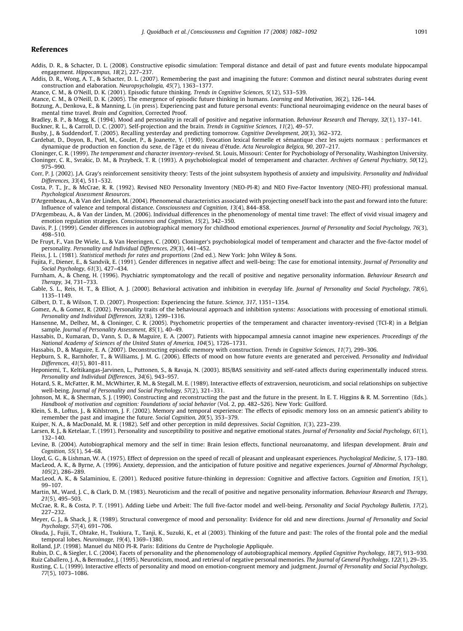#### <span id="page-9-0"></span>References

- Addis, D. R., & Schacter, D. L. (2008). Constructive episodic simulation: Temporal distance and detail of past and future events modulate hippocampal engagement. Hippocampus, 18(2), 227–237.
- Addis, D. R., Wong, A. T., & Schacter, D. L. (2007). Remembering the past and imagining the future: Common and distinct neural substrates during event construction and elaboration. Neuropsychologia, 45(7), 1363–1377.

Atance, C. M., & O'Neill, D. K. (2001). Episodic future thinking. Trends in Cognitive Sciences, 5(12), 533–539.

Atance, C. M., & O'Neill, D. K. (2005). The emergence of episodic future thinking in humans. Learning and Motivation, 36(2), 126–144.

Botzung, A., Denkova, E., & Manning, L. (in press). Experiencing past and future personal events: Functional neuroimaging evidence on the neural bases of mental time travel. Brain and Cognition, Corrected Proof.

Bradley, B. P., & Mogg, K. (1994). Mood and personality in recall of positive and negative information. Behaviour Research and Therapy, 32(1), 137–141.

Buckner, R. L., & Carroll, D. C. (2007). Self-projection and the brain. Trends in Cognitive Sciences, 11(2), 49–57.

Busby, J., & Suddendorf, T. (2005). Recalling yesterday and predicting tomorrow. Cognitive Development, 20(3), 362–372.

Cardebat, D., Doyon, B., Puel, M., Goulet, P., & Joanette, Y. (1990). Evocation lexical formelle et sémantique chez les sujets normaux : performances et dynamique de production en fonction du sexe, de l'âge et du niveau d'étude. Acta Neurologica Belgica, 90, 207–217.

Cloninger, C. R. (1999). The temperament and character inventory-revised. St. Louis, Missouri: Center for Psychobiology of Personality, Washington University. Cloninger, C. R., Svrakic, D. M., & Przybeck, T. R. (1993). A psychobiological model of temperament and character. Archives of General Psychiatry, 50(12), 975–990.

Corr, P. J. (2002). J.A. Gray's reinforcement sensitivity theory: Tests of the joint subsystem hypothesis of anxiety and impulsivity. Personality and Individual Differences, 33(4), 511–532.

Costa, P. T., Jr., & McCrae, R. R. (1992). Revised NEO Personality Inventory (NEO-PI-R) and NEO Five-Factor Inventory (NEO-FFI) professional manual. Psychological Assessment Resources.

D'Argembeau, A., & Van der Linden, M. (2004). Phenomenal characteristics associated with projecting oneself back into the past and forward into the future: Influence of valence and temporal distance. Consciousness and Cognition, 13(4), 844–858.

D'Argembeau, A., & Van der Linden, M. (2006). Individual differences in the phenomenology of mental time travel: The effect of vivid visual imagery and emotion regulation strategies. Consciousness and Cognition, 15(2), 342–350.

Davis, P. J. (1999). Gender differences in autobiographical memory for childhood emotional experiences. Journal of Personality and Social Psychology, 76(3), 498–510.

De Fruyt, F., Van De Wiele, L., & Van Heeringen, C. (2000). Cloninger's psychobiological model of temperament and character and the five-factor model of personality. Personality and Individual Differences, 29(3), 441–452.

Fleiss, J. L. (1981). Statistical methods for rates and proportions (2nd ed.). New York: John Wiley & Sons.

Fujita, F., Diener, E., & Sandvik, E. (1991). Gender differences in negative affect and well-being: The case for emotional intensity. Journal of Personality and Social Psychology, 61(3), 427–434.

Furnham, A., & Cheng, H. (1996). Psychiatric symptomatology and the recall of positive and negative personality information. Behaviour Research and Therapy, 34, 731–733.

Gable, S. L., Reis, H. T., & Elliot, A. J. (2000). Behavioral activation and inhibition in everyday life. Journal of Personality and Social Psychology, 78(6), 1135–1149.

Gilbert, D. T., & Wilson, T. D. (2007). Prospection: Experiencing the future. Science, 317, 1351–1354.

Gomez, A., & Gomez, R. (2002). Personality traits of the behavioural approach and inhibition systems: Associations with processing of emotional stimuli. Personality and Individual Differences, 32(8), 1299–1316.

Hansenne, M., Delhez, M., & Cloninger, C. R. (2005). Psychometric properties of the temperament and character inventory-revised (TCI-R) in a Belgian sample. Journal of Personality Assessment, 85(1), 40-49.

Hassabis, D., Kumaran, D., Vann, S. D., & Maguire, E. A. (2007). Patients with hippocampal amnesia cannot imagine new experiences. Proceedings of the National Academy of Sciences of the United States of America, 104(5), 1726–1731.

Hassabis, D., & Maguire, E. A. (2007). Deconstructing episodic memory with construction. Trends in Cognitive Sciences, 11(7), 299–306.

Hepburn, S. R., Barnhofer, T., & Williams, J. M. G. (2006). Effects of mood on how future events are generated and perceived. Personality and Individual Differences, 41(5), 801–811.

Heponiemi, T., Keltikangas-Jarvinen, L., Puttonen, S., & Ravaja, N. (2003). BIS/BAS sensitivity and self-rated affects during experimentally induced stress. Personality and Individual Differences, 34(6), 943–957.

Hotard, S. R., McFatter, R. M., McWhirter, R. M., & Stegall, M. E. (1989). Interactive effects of extraversion, neuroticism, and social relationships on subjective well-being. Journal of Personality and Social Psychology, 57(2), 321–331.

Johnson, M. K., & Sherman, S. J. (1990). Constructing and reconstructing the past and the future in the present. In E. T. Higgins & R. M. Sorrentino (Eds.). Handbook of motivation and cognition: Foundations of social behavior (Vol. 2, pp. 482–526). New York: Guilford.

Klein, S. B., Loftus, J., & Kihlstrom, J. F. (2002). Memory and temporal experience: The effects of episodic memory loss on an amnesic patient's ability to remember the past and imagine the future. Social Cognition, 20(5), 353–379.

Kuiper, N. A., & MacDonald, M. R. (1982). Self and other perception in mild depressives. Social Cognition, 1(3), 223–239.

Larsen, R. J., & Ketelaar, T. (1991). Personality and susceptibility to positive and negative emotional states. Journal of Personality and Social Psychology, 61(1), 132–140.

Levine, B. (2004). Autobiographical memory and the self in time: Brain lesion effects, functional neuroanatomy, and lifespan development. Brain and Cognition, 55(1), 54–68.

Lloyd, G. G., & Lishman, W. A. (1975). Effect of depression on the speed of recall of pleasant and unpleasant experiences. Psychological Medicine, 5, 173–180. MacLeod, A. K., & Byrne, A. (1996). Anxiety, depression, and the anticipation of future positive and negative experiences. Journal of Abnormal Psychology, 105(2), 286–289.

MacLeod, A. K., & Salaminiou, E. (2001). Reduced positive future-thinking in depression: Cognitive and affective factors. Cognition and Emotion, 15(1), 99–107.

Martin, M., Ward, J. C., & Clark, D. M. (1983). Neuroticism and the recall of positive and negative personality information. Behaviour Research and Therapy, 21(5), 495–503.

McCrae, R. R., & Costa, P. T. (1991). Adding Liebe und Arbeit: The full five-factor model and well-being. Personality and Social Psychology Bulletin, 17(2), 227–232.

Meyer, G. J., & Shack, J. R. (1989). Structural convergence of mood and personality: Evidence for old and new directions. Journal of Personality and Social Psychology, 57(4), 691–706.

Okuda, J., Fujii, T., Ohtake, H., Tsukiura, T., Tanji, K., Suzuki, K., et al (2003). Thinking of the future and past: The roles of the frontal pole and the medial temporal lobes. Neuroimage, 19(4), 1369–1380.

Rolland, J.P. (1998). Manuel du NEO PI-R. Paris: Editions du Centre de Psychologie Appliquée.

Rubin, D. C., & Siegler, I. C. (2004). Facets of personality and the phenomenology of autobiographical memory. Applied Cognitive Psychology, 18(7), 913–930. Ruiz Caballero, J. A., & Bermudez, J. (1995). Neuroticism, mood, and retrieval of negative personal memories. The Journal of General Psychology, 122(1), 29–35. Rusting, C. L. (1999). Interactive effects of personality and mood on emotion-congruent memory and judgment. Journal of Personality and Social Psychology,

77(5), 1073–1086.